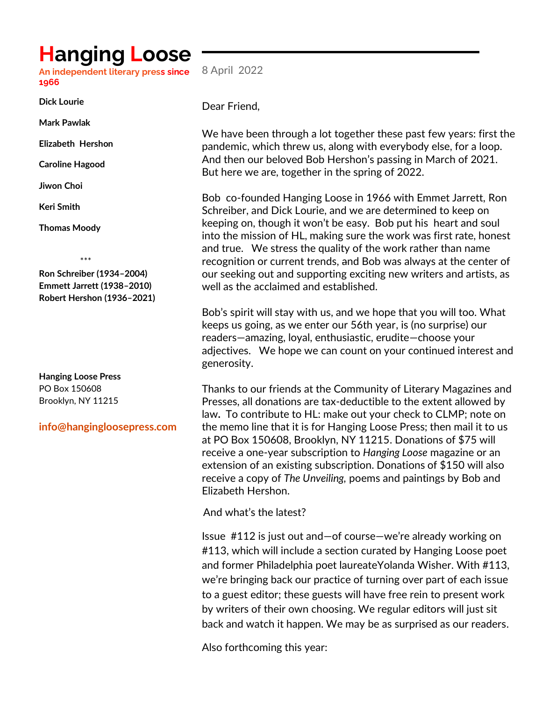## **Hanging Loose**

**An independent literary press since 1966** 8 April 2022

**Dick Lourie** 

**Mark Pawlak**

**Elizabeth Hershon**

**Caroline Hagood**

**Jiwon Choi**

**Keri Smith**

**Thomas Moody**

\*\*\*

**Ron Schreiber (1934–2004) Emmett Jarrett (1938–2010) Robert Hershon (1936–2021)**

**Hanging Loose Press** PO Box 150608 Brooklyn, NY 11215

## **info@hangingloosepress.com**

Dear Friend,

We have been through a lot together these past few years: first the pandemic, which threw us, along with everybody else, for a loop. And then our beloved Bob Hershon's passing in March of 2021. But here we are, together in the spring of 2022.

Bob co-founded Hanging Loose in 1966 with Emmet Jarrett, Ron Schreiber, and Dick Lourie, and we are determined to keep on keeping on, though it won't be easy. Bob put his heart and soul into the mission of HL, making sure the work was first rate, honest and true. We stress the quality of the work rather than name recognition or current trends, and Bob was always at the center of our seeking out and supporting exciting new writers and artists, as well as the acclaimed and established.

Bob's spirit will stay with us, and we hope that you will too. What keeps us going, as we enter our 56th year, is (no surprise) our readers—amazing, loyal, enthusiastic, erudite—choose your adjectives. We hope we can count on your continued interest and generosity.

Thanks to our friends at the Community of Literary Magazines and Presses, all donations are tax-deductible to the extent allowed by law**.** To contribute to HL: make out your check to CLMP; note on the memo line that it is for Hanging Loose Press; then mail it to us at PO Box 150608, Brooklyn, NY 11215. Donations of \$75 will receive a one-year subscription to *Hanging Loose* magazine or an extension of an existing subscription. Donations of \$150 will also receive a copy of *The Unveiling,* poems and paintings by Bob and Elizabeth Hershon.

And what's the latest?

• Issue #112 is just out and—of course—we're already working on #113, which will include a section curated by Hanging Loose poet and former Philadelphia poet laureateYolanda Wisher. With #113, we're bringing back our practice of turning over part of each issue to a guest editor; these guests will have free rein to present work by writers of their own choosing. We regular editors will just sit back and watch it happen. We may be as surprised as our readers.

Also forthcoming this year: